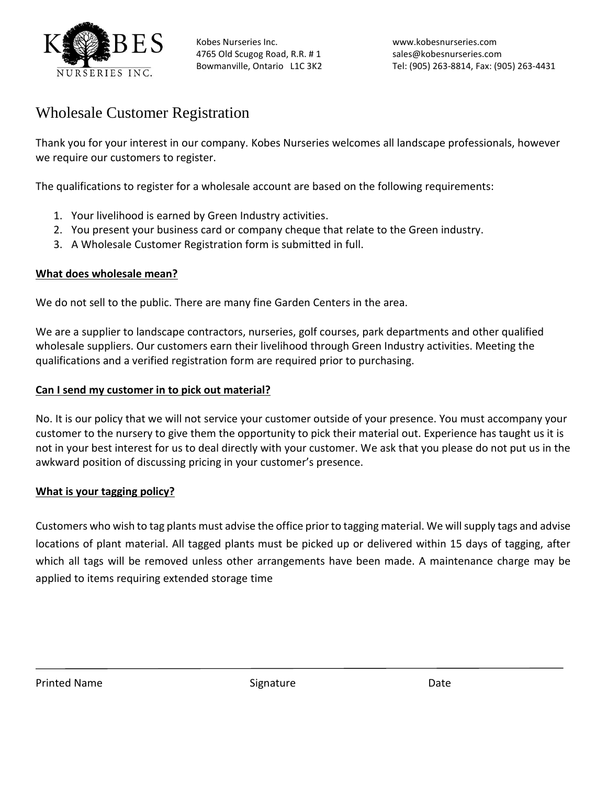

Kobes Nurseries Inc. www.kobesnurseries.com 4765 Old Scugog Road, R.R. #1 sales@kobesnurseries.com

## Wholesale Customer Registration

Thank you for your interest in our company. Kobes Nurseries welcomes all landscape professionals, however we require our customers to register.

The qualifications to register for a wholesale account are based on the following requirements:

- 1. Your livelihood is earned by Green Industry activities.
- 2. You present your business card or company cheque that relate to the Green industry.
- 3. A Wholesale Customer Registration form is submitted in full.

## **What does wholesale mean?**

We do not sell to the public. There are many fine Garden Centers in the area.

We are a supplier to landscape contractors, nurseries, golf courses, park departments and other qualified wholesale suppliers. Our customers earn their livelihood through Green Industry activities. Meeting the qualifications and a verified registration form are required prior to purchasing.

## **Can I send my customer in to pick out material?**

No. It is our policy that we will not service your customer outside of your presence. You must accompany your customer to the nursery to give them the opportunity to pick their material out. Experience has taught us it is not in your best interest for us to deal directly with your customer. We ask that you please do not put us in the awkward position of discussing pricing in your customer's presence.

## **What is your tagging policy?**

Customers who wish to tag plants must advise the office prior to tagging material. We will supply tags and advise locations of plant material. All tagged plants must be picked up or delivered within 15 days of tagging, after which all tags will be removed unless other arrangements have been made. A maintenance charge may be applied to items requiring extended storage time